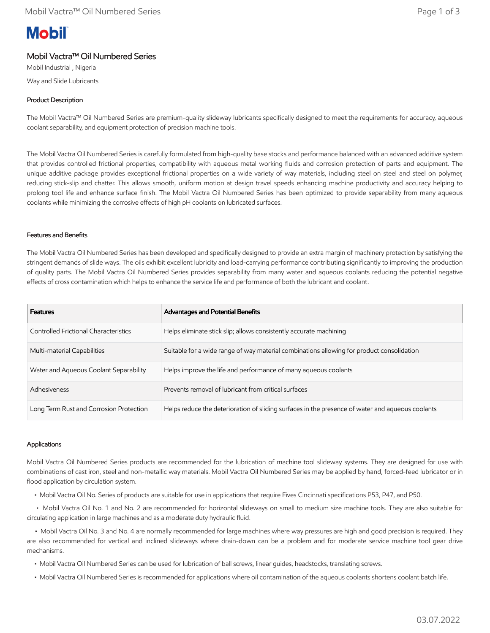# **Mobil**

# Mobil Vactra™ Oil Numbered Series

Mobil Industrial , Nigeria Way and Slide Lubricants

# Product Description

The Mobil Vactra™ Oil Numbered Series are premium-quality slideway lubricants specifically designed to meet the requirements for accuracy, aqueous coolant separability, and equipment protection of precision machine tools.

The Mobil Vactra Oil Numbered Series is carefully formulated from high-quality base stocks and performance balanced with an advanced additive system that provides controlled frictional properties, compatibility with aqueous metal working fluids and corrosion protection of parts and equipment. The unique additive package provides exceptional frictional properties on a wide variety of way materials, including steel on steel and steel on polymer, reducing stick-slip and chatter. This allows smooth, uniform motion at design travel speeds enhancing machine productivity and accuracy helping to prolong tool life and enhance surface finish. The Mobil Vactra Oil Numbered Series has been optimized to provide separability from many aqueous coolants while minimizing the corrosive effects of high pH coolants on lubricated surfaces.

### Features and Benefits

The Mobil Vactra Oil Numbered Series has been developed and specifically designed to provide an extra margin of machinery protection by satisfying the stringent demands of slide ways. The oils exhibit excellent lubricity and load-carrying performance contributing significantly to improving the production of quality parts. The Mobil Vactra Oil Numbered Series provides separability from many water and aqueous coolants reducing the potential negative effects of cross contamination which helps to enhance the service life and performance of both the lubricant and coolant.

| <b>Features</b>                         | <b>Advantages and Potential Benefits</b>                                                         |
|-----------------------------------------|--------------------------------------------------------------------------------------------------|
| Controlled Frictional Characteristics   | Helps eliminate stick slip; allows consistently accurate machining                               |
| Multi-material Capabilities             | Suitable for a wide range of way material combinations allowing for product consolidation        |
| Water and Aqueous Coolant Separability  | Helps improve the life and performance of many aqueous coolants                                  |
| Adhesiveness                            | Prevents removal of lubricant from critical surfaces                                             |
| Long Term Rust and Corrosion Protection | Helps reduce the deterioration of sliding surfaces in the presence of water and aqueous coolants |

### Applications

Mobil Vactra Oil Numbered Series products are recommended for the lubrication of machine tool slideway systems. They are designed for use with combinations of cast iron, steel and non-metallic way materials. Mobil Vactra Oil Numbered Series may be applied by hand, forced-feed lubricator or in flood application by circulation system.

• Mobil Vactra Oil No. Series of products are suitable for use in applications that require Fives Cincinnati specifications P53, P47, and P50.

 • Mobil Vactra Oil No. 1 and No. 2 are recommended for horizontal slideways on small to medium size machine tools. They are also suitable for circulating application in large machines and as a moderate duty hydraulic fluid.

 • Mobil Vactra Oil No. 3 and No. 4 are normally recommended for large machines where way pressures are high and good precision is required. They are also recommended for vertical and inclined slideways where drain-down can be a problem and for moderate service machine tool gear drive mechanisms.

- Mobil Vactra Oil Numbered Series can be used for lubrication of ball screws, linear guides, headstocks, translating screws.
- Mobil Vactra Oil Numbered Series is recommended for applications where oil contamination of the aqueous coolants shortens coolant batch life.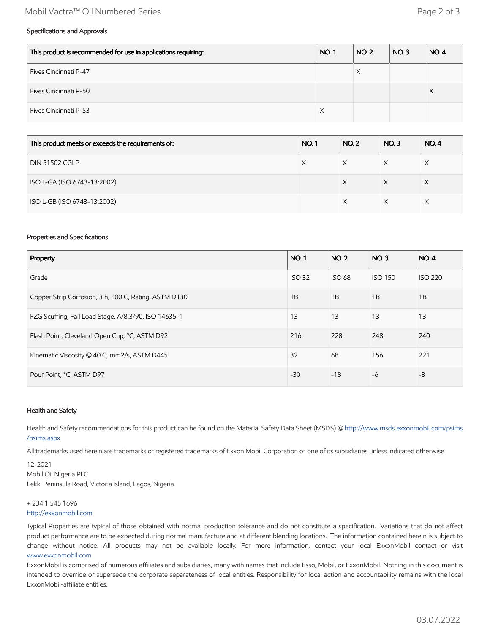## Mobil Vactra™ Oil Numbered Series Page 2 of 3

# Specifications and Approvals

| This product is recommended for use in applications requiring: | <b>NO.1</b> | <b>NO. 2</b> | NO.3 | <b>NO.4</b> |
|----------------------------------------------------------------|-------------|--------------|------|-------------|
| Fives Cincinnati P-47                                          |             |              |      |             |
| Fives Cincinnati P-50                                          |             |              |      | ∧           |
| <b>Fives Cincinnati P-53</b>                                   | X           |              |      |             |

| <b>NO.1</b><br>This product meets or exceeds the requirements of: |   | <b>NO.2</b> | NO.3 | <b>NO.4</b> |
|-------------------------------------------------------------------|---|-------------|------|-------------|
| <b>DIN 51502 CGLP</b>                                             | X | X           | X    |             |
| ISO L-GA (ISO 6743-13:2002)                                       |   | X           | X    | X           |
| ISO L-GB (ISO 6743-13:2002)                                       |   | X           | X    |             |

# Properties and Specifications

| Property                                              |       | <b>NO.2</b>   | NO.3           | <b>NO.4</b>    |
|-------------------------------------------------------|-------|---------------|----------------|----------------|
| Grade                                                 |       | <b>ISO 68</b> | <b>ISO 150</b> | <b>ISO 220</b> |
| Copper Strip Corrosion, 3 h, 100 C, Rating, ASTM D130 |       | 1B            | 1B             | 1B             |
| FZG Scuffing, Fail Load Stage, A/8.3/90, ISO 14635-1  |       | 13            | 13             | 13             |
| Flash Point, Cleveland Open Cup, °C, ASTM D92         | 216   | 228           | 248            | 240            |
| Kinematic Viscosity @ 40 C, mm2/s, ASTM D445          | 32    | 68            | 156            | 221            |
| Pour Point, °C, ASTM D97                              | $-30$ | $-18$         | $-6$           | $-3$           |

#### Health and Safety

Health and Safety recommendations for this product can be found on the Material Safety Data Sheet (MSDS) @ [http://www.msds.exxonmobil.com/psims](http://www.msds.exxonmobil.com/psims/psims.aspx) /psims.aspx

All trademarks used herein are trademarks or registered trademarks of Exxon Mobil Corporation or one of its subsidiaries unless indicated otherwise.

12-2021 Mobil Oil Nigeria PLC Lekki Peninsula Road, Victoria Island, Lagos, Nigeria

### + 234 1 545 1696

#### [http://exxonmobil.com](http://exxonmobil.com/)

Typical Properties are typical of those obtained with normal production tolerance and do not constitute a specification. Variations that do not affect product performance are to be expected during normal manufacture and at different blending locations. The information contained herein is subject to change without notice. All products may not be available locally. For more information, contact your local ExxonMobil contact or visit [www.exxonmobil.com](http://www.exxonmobil.com/)

ExxonMobil is comprised of numerous affiliates and subsidiaries, many with names that include Esso, Mobil, or ExxonMobil. Nothing in this document is intended to override or supersede the corporate separateness of local entities. Responsibility for local action and accountability remains with the local ExxonMobil-affiliate entities.